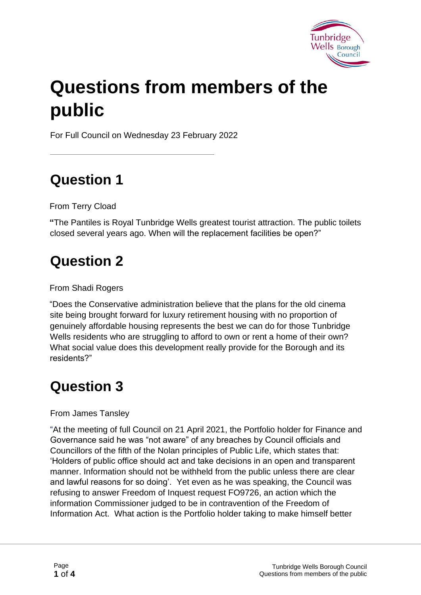

# **Questions from members of the public**

For Full Council on Wednesday 23 February 2022

## **Question 1**

From Terry Cload

**"**The Pantiles is Royal Tunbridge Wells greatest tourist attraction. The public toilets closed several years ago. When will the replacement facilities be open?"

#### **Question 2**

From Shadi Rogers

"Does the Conservative administration believe that the plans for the old cinema site being brought forward for luxury retirement housing with no proportion of genuinely affordable housing represents the best we can do for those Tunbridge Wells residents who are struggling to afford to own or rent a home of their own? What social value does this development really provide for the Borough and its residents?"

# **Question 3**

#### From James Tansley

"At the meeting of full Council on 21 April 2021, the Portfolio holder for Finance and Governance said he was "not aware" of any breaches by Council officials and Councillors of the fifth of the Nolan principles of Public Life, which states that: 'Holders of public office should act and take decisions in an open and transparent manner. Information should not be withheld from the public unless there are clear and lawful reasons for so doing'. Yet even as he was speaking, the Council was refusing to answer Freedom of Inquest request FO9726, an action which the information Commissioner judged to be in contravention of the Freedom of Information Act. What action is the Portfolio holder taking to make himself better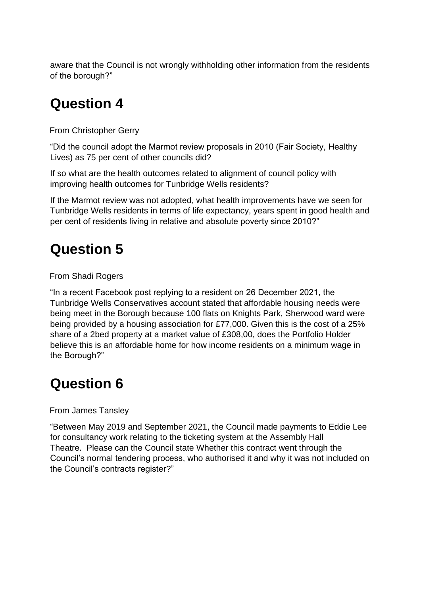aware that the Council is not wrongly withholding other information from the residents of the borough?"

#### **Question 4**

From Christopher Gerry

"Did the council adopt the Marmot review proposals in 2010 (Fair Society, Healthy Lives) as 75 per cent of other councils did?

If so what are the health outcomes related to alignment of council policy with improving health outcomes for Tunbridge Wells residents?

If the Marmot review was not adopted, what health improvements have we seen for Tunbridge Wells residents in terms of life expectancy, years spent in good health and per cent of residents living in relative and absolute poverty since 2010?"

## **Question 5**

From Shadi Rogers

"In a recent Facebook post replying to a resident on 26 December 2021, the Tunbridge Wells Conservatives account stated that affordable housing needs were being meet in the Borough because 100 flats on Knights Park, Sherwood ward were being provided by a housing association for £77,000. Given this is the cost of a 25% share of a 2bed property at a market value of £308,00, does the Portfolio Holder believe this is an affordable home for how income residents on a minimum wage in the Borough?"

#### **Question 6**

From James Tansley

"Between May 2019 and September 2021, the Council made payments to Eddie Lee for consultancy work relating to the ticketing system at the Assembly Hall Theatre. Please can the Council state Whether this contract went through the Council's normal tendering process, who authorised it and why it was not included on the Council's contracts register?"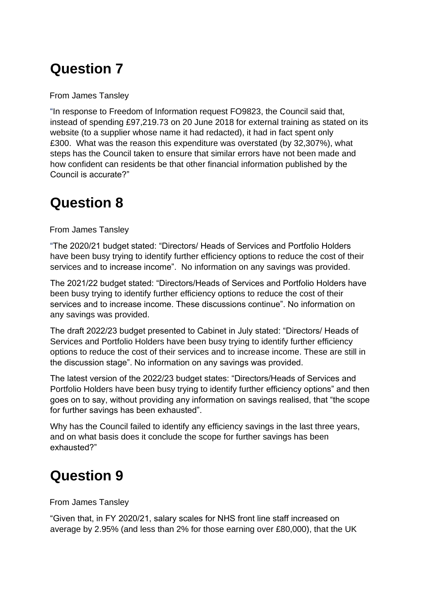#### **Question 7**

From James Tansley

"In response to Freedom of Information request FO9823, the Council said that, instead of spending £97,219.73 on 20 June 2018 for external training as stated on its website (to a supplier whose name it had redacted), it had in fact spent only £300. What was the reason this expenditure was overstated (by 32,307%), what steps has the Council taken to ensure that similar errors have not been made and how confident can residents be that other financial information published by the Council is accurate?"

#### **Question 8**

From James Tansley

"The 2020/21 budget stated: "Directors/ Heads of Services and Portfolio Holders have been busy trying to identify further efficiency options to reduce the cost of their services and to increase income". No information on any savings was provided.

The 2021/22 budget stated: "Directors/Heads of Services and Portfolio Holders have been busy trying to identify further efficiency options to reduce the cost of their services and to increase income. These discussions continue". No information on any savings was provided.

The draft 2022/23 budget presented to Cabinet in July stated: "Directors/ Heads of Services and Portfolio Holders have been busy trying to identify further efficiency options to reduce the cost of their services and to increase income. These are still in the discussion stage". No information on any savings was provided.

The latest version of the 2022/23 budget states: "Directors/Heads of Services and Portfolio Holders have been busy trying to identify further efficiency options" and then goes on to say, without providing any information on savings realised, that "the scope for further savings has been exhausted".

Why has the Council failed to identify any efficiency savings in the last three years, and on what basis does it conclude the scope for further savings has been exhausted?"

# **Question 9**

From James Tansley

"Given that, in FY 2020/21, salary scales for NHS front line staff increased on average by 2.95% (and less than 2% for those earning over £80,000), that the UK